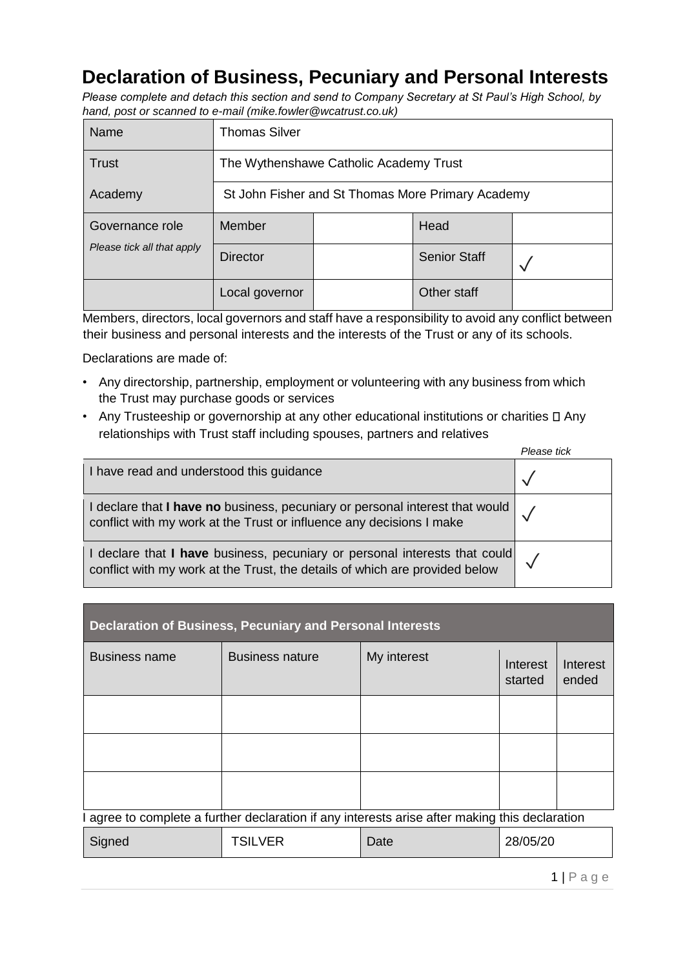## **Declaration of Business, Pecuniary and Personal Interests**

*Please complete and detach this section and send to Company Secretary at St Paul's High School, by hand, post or scanned to e-mail (mike.fowler@wcatrust.co.uk)* 

| Name                       | <b>Thomas Silver</b>                              |  |                     |  |
|----------------------------|---------------------------------------------------|--|---------------------|--|
| <b>Trust</b>               | The Wythenshawe Catholic Academy Trust            |  |                     |  |
| Academy                    | St John Fisher and St Thomas More Primary Academy |  |                     |  |
| Governance role            | Member                                            |  | Head                |  |
| Please tick all that apply | <b>Director</b>                                   |  | <b>Senior Staff</b> |  |
|                            | Local governor                                    |  | Other staff         |  |

Members, directors, local governors and staff have a responsibility to avoid any conflict between their business and personal interests and the interests of the Trust or any of its schools.

Declarations are made of:

- Any directorship, partnership, employment or volunteering with any business from which the Trust may purchase goods or services
- Any Trusteeship or governorship at any other educational institutions or charities  $\square$  Any relationships with Trust staff including spouses, partners and relatives

|                                                                                                                                                           | Please tick |
|-----------------------------------------------------------------------------------------------------------------------------------------------------------|-------------|
| I have read and understood this guidance                                                                                                                  |             |
| I declare that I have no business, pecuniary or personal interest that would<br>conflict with my work at the Trust or influence any decisions I make      |             |
| I declare that I have business, pecuniary or personal interests that could<br>conflict with my work at the Trust, the details of which are provided below |             |

| <b>Declaration of Business, Pecuniary and Personal Interests</b>                               |                        |             |                     |                   |
|------------------------------------------------------------------------------------------------|------------------------|-------------|---------------------|-------------------|
| <b>Business name</b>                                                                           | <b>Business nature</b> | My interest | Interest<br>started | Interest<br>ended |
|                                                                                                |                        |             |                     |                   |
|                                                                                                |                        |             |                     |                   |
|                                                                                                |                        |             |                     |                   |
| I agree to complete a further declaration if any interests arise after making this declaration |                        |             |                     |                   |
| Signed                                                                                         | <b>TSILVER</b>         | Date        | 28/05/20            |                   |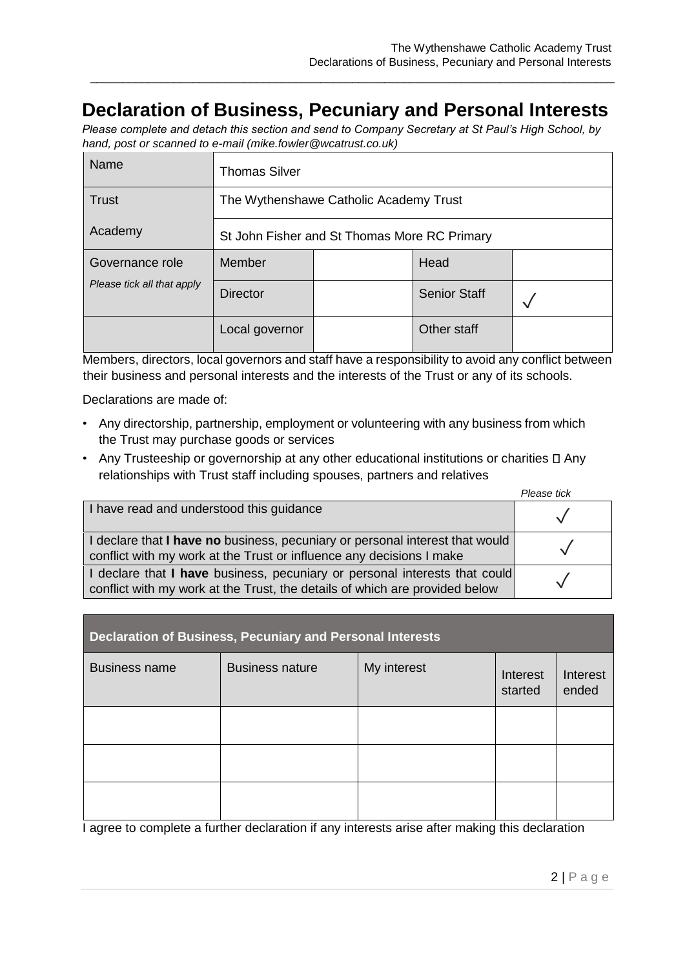## **Declaration of Business, Pecuniary and Personal Interests**

\_\_\_\_\_\_\_\_\_\_\_\_\_\_\_\_\_\_\_\_\_\_\_\_\_\_\_\_\_\_\_\_\_\_\_\_\_\_\_\_\_\_\_\_\_\_\_\_\_\_\_\_\_\_\_\_\_\_\_\_\_\_\_\_\_\_\_\_\_\_\_\_\_\_\_\_\_\_\_\_\_\_

*Please complete and detach this section and send to Company Secretary at St Paul's High School, by hand, post or scanned to e-mail (mike.fowler@wcatrust.co.uk)* 

| Name                       | Thomas Silver                                |  |                     |  |
|----------------------------|----------------------------------------------|--|---------------------|--|
| <b>Trust</b>               | The Wythenshawe Catholic Academy Trust       |  |                     |  |
| Academy                    | St John Fisher and St Thomas More RC Primary |  |                     |  |
| Governance role            | Member                                       |  | Head                |  |
| Please tick all that apply | <b>Director</b>                              |  | <b>Senior Staff</b> |  |
|                            | Local governor                               |  | Other staff         |  |

Members, directors, local governors and staff have a responsibility to avoid any conflict between their business and personal interests and the interests of the Trust or any of its schools.

Declarations are made of:

- Any directorship, partnership, employment or volunteering with any business from which the Trust may purchase goods or services
- Any Trusteeship or governorship at any other educational institutions or charities  $\square$  Any relationships with Trust staff including spouses, partners and relatives

|                                                                                                                                                           | Please tick |
|-----------------------------------------------------------------------------------------------------------------------------------------------------------|-------------|
| I have read and understood this guidance                                                                                                                  |             |
| I declare that I have no business, pecuniary or personal interest that would<br>conflict with my work at the Trust or influence any decisions I make      |             |
| I declare that I have business, pecuniary or personal interests that could<br>conflict with my work at the Trust, the details of which are provided below |             |

| <b>Declaration of Business, Pecuniary and Personal Interests</b> |                        |             |                     |                   |
|------------------------------------------------------------------|------------------------|-------------|---------------------|-------------------|
| <b>Business name</b>                                             | <b>Business nature</b> | My interest | Interest<br>started | Interest<br>ended |
|                                                                  |                        |             |                     |                   |
|                                                                  |                        |             |                     |                   |
|                                                                  |                        |             |                     |                   |

I agree to complete a further declaration if any interests arise after making this declaration